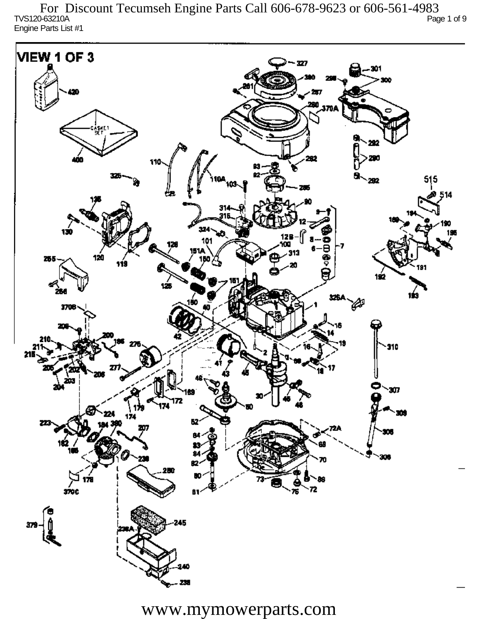TVS120-63210A Page 1 of 9 Engine Parts List #1 For Discount Tecumseh Engine Parts Call 606-678-9623 or 606-561-4983



www.mymowerparts.com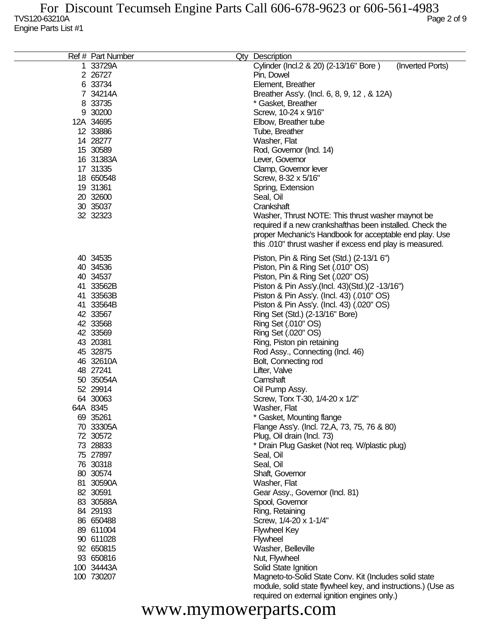|    | Ref # Part Number | Qty Description                                              |
|----|-------------------|--------------------------------------------------------------|
| 1. | 33729A            | Cylinder (Incl.2 & 20) (2-13/16" Bore)<br>(Inverted Ports)   |
|    | 2 26727           | Pin, Dowel                                                   |
|    | 6 33734           | Element, Breather                                            |
|    | 7 34214A          | Breather Ass'y. (Incl. 6, 8, 9, 12, & 12A)                   |
|    | 8 33735           | * Gasket, Breather                                           |
|    | 9 30200           | Screw, 10-24 x 9/16"                                         |
|    | 12A 34695         |                                                              |
|    |                   | Elbow, Breather tube                                         |
|    | 12 33886          | Tube, Breather                                               |
|    | 14 28277          | Washer, Flat                                                 |
|    | 15 30589          | Rod, Governor (Incl. 14)                                     |
|    | 16 31383A         | Lever, Governor                                              |
|    | 17 31335          | Clamp, Governor lever                                        |
|    | 18 650548         | Screw, 8-32 x 5/16"                                          |
|    | 19 31361          | Spring, Extension                                            |
|    | 20 32600          | Seal, Oil                                                    |
|    | 30 35037          | Crankshaft                                                   |
|    | 32 32323          | Washer, Thrust NOTE: This thrust washer maynot be            |
|    |                   | required if a new crankshafthas been installed. Check the    |
|    |                   | proper Mechanic's Handbook for acceptable end play. Use      |
|    |                   | this .010" thrust washer if excess end play is measured.     |
|    | 40 34535          | Piston, Pin & Ring Set (Std.) (2-13/1 6")                    |
|    | 40 34536          | Piston, Pin & Ring Set (.010" OS)                            |
|    | 40 34537          | Piston, Pin & Ring Set (.020" OS)                            |
|    | 41 33562B         | Piston & Pin Ass'y (Incl. 43) (Std.) (2 -13/16")             |
|    | 41 33563B         | Piston & Pin Ass'y. (Incl. 43) (.010" OS)                    |
|    | 41 33564B         | Piston & Pin Ass'y. (Incl. 43) (.020" OS)                    |
|    | 42 33567          |                                                              |
|    | 42 33568          | Ring Set (Std.) (2-13/16" Bore)                              |
|    |                   | Ring Set (.010" OS)                                          |
|    | 42 33569          | Ring Set (.020" OS)                                          |
|    | 43 20381          | Ring, Piston pin retaining                                   |
|    | 45 32875          | Rod Assy., Connecting (Incl. 46)                             |
|    | 46 32610A         | Bolt, Connecting rod                                         |
|    | 48 27241          | Lifter, Valve                                                |
|    | 50 35054A         | Camshaft                                                     |
|    | 52 29914          | Oil Pump Assy.                                               |
|    | 64 30063          | Screw, Torx T-30, 1/4-20 x 1/2"                              |
|    | 64A 8345          | Washer, Flat                                                 |
|    | 69 35261          | * Gasket, Mounting flange                                    |
|    | 70 33305A         | Flange Ass'y. (Incl. 72, A, 73, 75, 76 & 80)                 |
|    | 72 30572          | Plug, Oil drain (Incl. 73)                                   |
|    | 73 28833          | * Drain Plug Gasket (Not req. W/plastic plug)                |
|    | 75 27897          | Seal, Oil                                                    |
|    | 76 30318          | Seal, Oil                                                    |
|    | 80 30574          | Shaft, Governor                                              |
|    | 81 30590A         | Washer, Flat                                                 |
|    | 82 30591          | Gear Assy., Governor (Incl. 81)                              |
|    | 83 30588A         | Spool, Governor                                              |
|    | 84 29193          | Ring, Retaining                                              |
|    | 86 650488         | Screw, 1/4-20 x 1-1/4"                                       |
|    | 89 611004         | <b>Flywheel Key</b>                                          |
|    | 90 611028         | Flywheel                                                     |
|    | 92 650815         | Washer, Belleville                                           |
|    | 93 650816         | Nut, Flywheel                                                |
|    | 100 34443A        | Solid State Ignition                                         |
|    | 100 730207        | Magneto-to-Solid State Conv. Kit (Includes solid state       |
|    |                   | module, solid state flywheel key, and instructions.) (Use as |
|    |                   | required on external ignition engines only.)                 |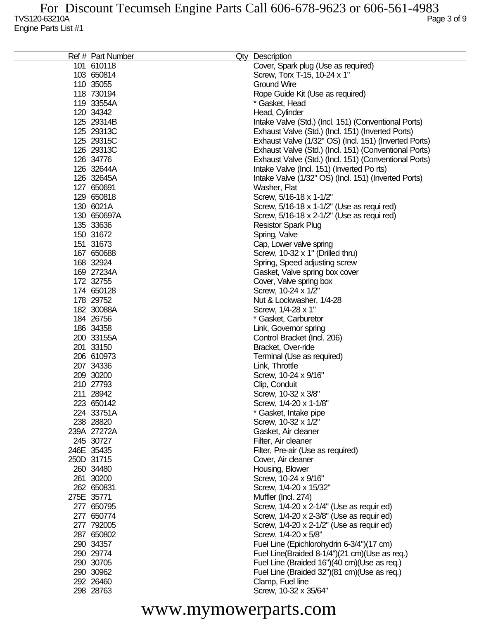|            | Ref # Part Number | Qty Description                                          |
|------------|-------------------|----------------------------------------------------------|
|            | 101 610118        | Cover, Spark plug (Use as required)                      |
|            | 103 650814        | Screw, Torx T-15, 10-24 x 1"                             |
|            | 110 35055         | <b>Ground Wire</b>                                       |
|            | 118 730194        | Rope Guide Kit (Use as required)                         |
|            | 119 33554A        | * Gasket, Head                                           |
|            | 120 34342         | Head, Cylinder                                           |
|            | 125 29314B        |                                                          |
|            |                   | Intake Valve (Std.) (Incl. 151) (Conventional Ports)     |
|            | 125 29313C        | Exhaust Valve (Std.) (Incl. 151) (Inverted Ports)        |
|            | 125 29315C        | Exhaust Valve (1/32" OS) (Incl. 151) (Inverted Ports)    |
|            | 126 29313C        | Exhaust Valve (Std.) (Incl. 151) (Conventional Ports)    |
|            | 126 34776         | Exhaust Valve (Std.) (Incl. 151) (Conventional Ports)    |
|            | 126 32644A        | Intake Valve (Incl. 151) (Inverted Po rts)               |
|            | 126 32645A        | Intake Valve (1/32" OS) (Incl. 151) (Inverted Ports)     |
|            | 127 650691        | Washer, Flat                                             |
|            | 129 650818        | Screw, 5/16-18 x 1-1/2"                                  |
|            | 130 6021A         | Screw, 5/16-18 x 1-1/2" (Use as requi red)               |
|            | 130 650697A       | Screw, 5/16-18 x 2-1/2" (Use as requi red)               |
|            | 135 33636         | <b>Resistor Spark Plug</b>                               |
|            | 150 31672         | Spring, Valve                                            |
|            | 151 31673         | Cap, Lower valve spring                                  |
|            | 167 650688        | Screw, 10-32 x 1" (Drilled thru)                         |
|            | 168 32924         | Spring, Speed adjusting screw                            |
|            | 169 27234A        | Gasket, Valve spring box cover                           |
|            | 172 32755         | Cover, Valve spring box                                  |
|            | 174 650128        | Screw, 10-24 x 1/2"                                      |
|            | 178 29752         | Nut & Lockwasher, 1/4-28                                 |
|            | 182 30088A        | Screw, 1/4-28 x 1"                                       |
|            | 184 26756         | * Gasket, Carburetor                                     |
|            | 186 34358         | Link, Governor spring                                    |
|            | 200 33155A        | Control Bracket (Incl. 206)                              |
|            | 201 33150         | Bracket, Over-ride                                       |
|            | 206 610973        | Terminal (Use as required)                               |
|            | 207 34336         | Link, Throttle                                           |
|            | 209 30200         | Screw, 10-24 x 9/16"                                     |
|            | 210 27793         | Clip, Conduit                                            |
|            | 211 28942         | Screw, 10-32 x 3/8"                                      |
|            | 223 650142        | Screw, 1/4-20 x 1-1/8"                                   |
|            | 224 33751A        | * Gasket, Intake pipe                                    |
|            | 238 28820         | Screw, 10-32 x 1/2"                                      |
|            | 239A 27272A       | Gasket, Air cleaner                                      |
|            | 245 30727         |                                                          |
|            | 246E 35435        | Filter, Air cleaner<br>Filter, Pre-air (Use as required) |
|            | 250D 31715        |                                                          |
|            |                   | Cover, Air cleaner                                       |
|            | 260 34480         | Housing, Blower                                          |
|            | 261 30200         | Screw, 10-24 x 9/16"                                     |
|            | 262 650831        | Screw, 1/4-20 x 15/32"                                   |
| 275E 35771 |                   | Muffler (Incl. 274)                                      |
|            | 277 650795        | Screw, 1/4-20 x 2-1/4" (Use as requir ed)                |
|            | 277 650774        | Screw, 1/4-20 x 2-3/8" (Use as requir ed)                |
|            | 277 792005        | Screw, 1/4-20 x 2-1/2" (Use as requir ed)                |
|            | 287 650802        | Screw, 1/4-20 x 5/8"                                     |
|            | 290 34357         | Fuel Line (Epichlorohydrin 6-3/4")(17 cm)                |
|            | 290 29774         | Fuel Line(Braided 8-1/4")(21 cm)(Use as req.)            |
|            | 290 30705         | Fuel Line (Braided 16")(40 cm)(Use as req.)              |
|            | 290 30962         | Fuel Line (Braided 32")(81 cm)(Use as req.)              |
|            | 292 26460         | Clamp, Fuel line                                         |
|            | 298 28763         | Screw, 10-32 x 35/64"                                    |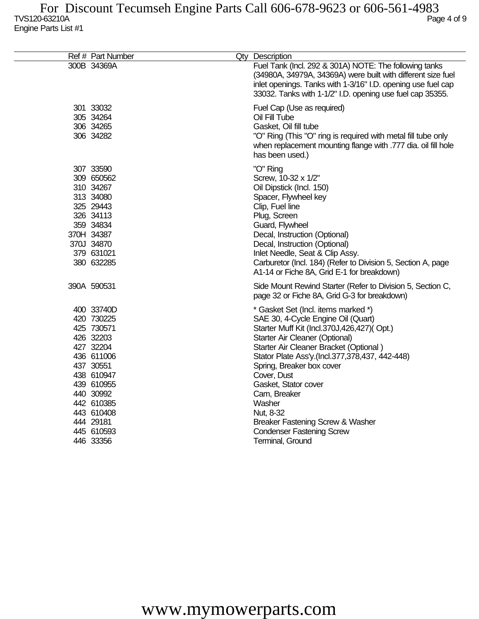| Ref # Part Number | Qty Description                                                                                                                                                                                                                                     |
|-------------------|-----------------------------------------------------------------------------------------------------------------------------------------------------------------------------------------------------------------------------------------------------|
| 300B 34369A       | Fuel Tank (Incl. 292 & 301A) NOTE: The following tanks<br>(34980A, 34979A, 34369A) were built with different size fuel<br>inlet openings. Tanks with 1-3/16" I.D. opening use fuel cap<br>33032. Tanks with 1-1/2" I.D. opening use fuel cap 35355. |
| 301 33032         | Fuel Cap (Use as required)                                                                                                                                                                                                                          |
| 305 34264         | Oil Fill Tube                                                                                                                                                                                                                                       |
| 306 34265         | Gasket, Oil fill tube                                                                                                                                                                                                                               |
| 306 34282         | "O" Ring (This "O" ring is required with metal fill tube only<br>when replacement mounting flange with .777 dia. oil fill hole<br>has been used.)                                                                                                   |
| 307 33590         | "O" Ring                                                                                                                                                                                                                                            |
| 309 650562        | Screw, 10-32 x 1/2"                                                                                                                                                                                                                                 |
| 310 34267         | Oil Dipstick (Incl. 150)                                                                                                                                                                                                                            |
| 313 34080         | Spacer, Flywheel key                                                                                                                                                                                                                                |
| 325 29443         | Clip, Fuel line                                                                                                                                                                                                                                     |
| 326 34113         | Plug, Screen                                                                                                                                                                                                                                        |
| 359 34834         | Guard, Flywheel                                                                                                                                                                                                                                     |
| 370H 34387        | Decal, Instruction (Optional)                                                                                                                                                                                                                       |
| 370J 34870        | Decal, Instruction (Optional)                                                                                                                                                                                                                       |
| 379 631021        | Inlet Needle, Seat & Clip Assy.                                                                                                                                                                                                                     |
| 380 632285        | Carburetor (Incl. 184) (Refer to Division 5, Section A, page<br>A1-14 or Fiche 8A, Grid E-1 for breakdown)                                                                                                                                          |
| 390A 590531       | Side Mount Rewind Starter (Refer to Division 5, Section C,<br>page 32 or Fiche 8A, Grid G-3 for breakdown)                                                                                                                                          |
| 400 33740D        | * Gasket Set (Incl. items marked *)                                                                                                                                                                                                                 |
| 420 730225        | SAE 30, 4-Cycle Engine Oil (Quart)                                                                                                                                                                                                                  |
| 425 730571        | Starter Muff Kit (Incl.370J,426,427)(Opt.)                                                                                                                                                                                                          |
| 426 32203         | Starter Air Cleaner (Optional)                                                                                                                                                                                                                      |
| 427 32204         | Starter Air Cleaner Bracket (Optional)                                                                                                                                                                                                              |
| 436 611006        | Stator Plate Ass'y.(Incl.377,378,437, 442-448)                                                                                                                                                                                                      |
| 437 30551         | Spring, Breaker box cover                                                                                                                                                                                                                           |
| 438 610947        | Cover, Dust                                                                                                                                                                                                                                         |
| 439 610955        | Gasket, Stator cover                                                                                                                                                                                                                                |
| 440 30992         | Cam, Breaker                                                                                                                                                                                                                                        |
| 442 610385        | Washer                                                                                                                                                                                                                                              |
| 443 610408        | Nut, 8-32                                                                                                                                                                                                                                           |
| 444 29181         | Breaker Fastening Screw & Washer                                                                                                                                                                                                                    |
| 445 610593        | <b>Condenser Fastening Screw</b>                                                                                                                                                                                                                    |
| 446 33356         | Terminal, Ground                                                                                                                                                                                                                                    |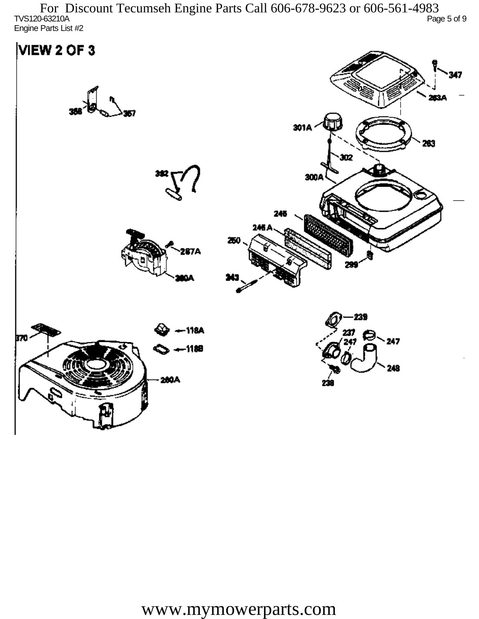TVS120-63210A Page 5 of 9 Engine Parts List #2 For Discount Tecumseh Engine Parts Call 606-678-9623 or 606-561-4983

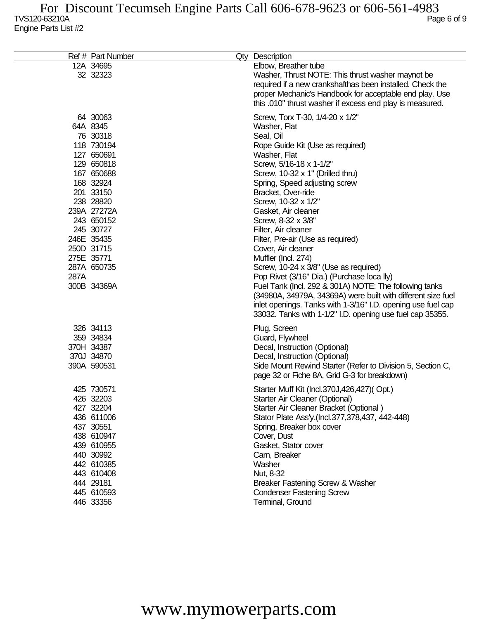|      | Ref # Part Number                                                                                                                                                                                                                                 | Qty Description                                                                                                                                                                                                                                                                                                                                                                                                                                                                                                                                                                                                                                                                                                                                                   |
|------|---------------------------------------------------------------------------------------------------------------------------------------------------------------------------------------------------------------------------------------------------|-------------------------------------------------------------------------------------------------------------------------------------------------------------------------------------------------------------------------------------------------------------------------------------------------------------------------------------------------------------------------------------------------------------------------------------------------------------------------------------------------------------------------------------------------------------------------------------------------------------------------------------------------------------------------------------------------------------------------------------------------------------------|
|      | 12A 34695<br>32 32323                                                                                                                                                                                                                             | Elbow, Breather tube<br>Washer, Thrust NOTE: This thrust washer maynot be<br>required if a new crankshafthas been installed. Check the<br>proper Mechanic's Handbook for acceptable end play. Use<br>this .010" thrust washer if excess end play is measured.                                                                                                                                                                                                                                                                                                                                                                                                                                                                                                     |
| 287A | 64 30063<br>64A 8345<br>76 30318<br>118 730194<br>127 650691<br>129 650818<br>167 650688<br>168 32924<br>201 33150<br>238 28820<br>239A 27272A<br>243 650152<br>245 30727<br>246E 35435<br>250D 31715<br>275E 35771<br>287A 650735<br>300B 34369A | Screw, Torx T-30, 1/4-20 x 1/2"<br>Washer, Flat<br>Seal, Oil<br>Rope Guide Kit (Use as required)<br>Washer, Flat<br>Screw, 5/16-18 x 1-1/2"<br>Screw, 10-32 x 1" (Drilled thru)<br>Spring, Speed adjusting screw<br>Bracket, Over-ride<br>Screw, 10-32 x 1/2"<br>Gasket, Air cleaner<br>Screw, 8-32 x 3/8"<br>Filter, Air cleaner<br>Filter, Pre-air (Use as required)<br>Cover, Air cleaner<br>Muffler (Incl. 274)<br>Screw, 10-24 x 3/8" (Use as required)<br>Pop Rivet (3/16" Dia.) (Purchase loca lly)<br>Fuel Tank (Incl. 292 & 301A) NOTE: The following tanks<br>(34980A, 34979A, 34369A) were built with different size fuel<br>inlet openings. Tanks with 1-3/16" I.D. opening use fuel cap<br>33032. Tanks with 1-1/2" I.D. opening use fuel cap 35355. |
|      | 326 34113<br>359 34834<br>370H 34387<br>370J 34870<br>390A 590531                                                                                                                                                                                 | Plug, Screen<br>Guard, Flywheel<br>Decal, Instruction (Optional)<br>Decal, Instruction (Optional)<br>Side Mount Rewind Starter (Refer to Division 5, Section C,<br>page 32 or Fiche 8A, Grid G-3 for breakdown)                                                                                                                                                                                                                                                                                                                                                                                                                                                                                                                                                   |
|      | 425 730571<br>426 32203<br>427 32204<br>436 611006<br>437 30551<br>438 610947<br>439 610955<br>440 30992<br>442 610385<br>443 610408<br>444 29181<br>445 610593<br>446 33356                                                                      | Starter Muff Kit (Incl.370J,426,427)(Opt.)<br>Starter Air Cleaner (Optional)<br>Starter Air Cleaner Bracket (Optional)<br>Stator Plate Ass'y.(Incl.377,378,437, 442-448)<br>Spring, Breaker box cover<br>Cover, Dust<br>Gasket, Stator cover<br>Cam, Breaker<br>Washer<br>Nut, 8-32<br>Breaker Fastening Screw & Washer<br><b>Condenser Fastening Screw</b><br>Terminal, Ground                                                                                                                                                                                                                                                                                                                                                                                   |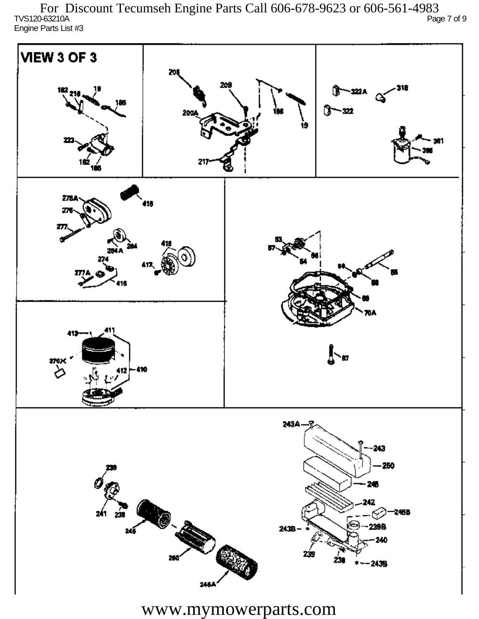TVS120-63210A Page 7 of 9 Engine Parts List #3 For Discount Tecumseh Engine Parts Call 606-678-9623 or 606-561-4983

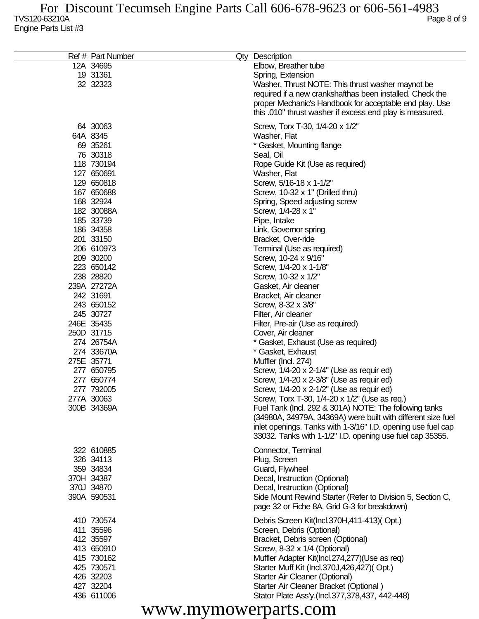| Ref # Part Number | Qty Description                                              |
|-------------------|--------------------------------------------------------------|
|                   |                                                              |
| 12A 34695         | Elbow, Breather tube                                         |
| 19 31361          | Spring, Extension                                            |
| 32 32323          | Washer, Thrust NOTE: This thrust washer maynot be            |
|                   | required if a new crankshafthas been installed. Check the    |
|                   | proper Mechanic's Handbook for acceptable end play. Use      |
|                   | this .010" thrust washer if excess end play is measured.     |
|                   |                                                              |
| 64 30063          | Screw, Torx T-30, 1/4-20 x 1/2"                              |
| 64A 8345          | Washer, Flat                                                 |
| 69 35261          | * Gasket, Mounting flange                                    |
|                   |                                                              |
| 76 30318          | Seal, Oil                                                    |
| 118 730194        | Rope Guide Kit (Use as required)                             |
| 127 650691        | Washer, Flat                                                 |
| 129 650818        | Screw, 5/16-18 x 1-1/2"                                      |
| 167 650688        | Screw, 10-32 x 1" (Drilled thru)                             |
| 168 32924         | Spring, Speed adjusting screw                                |
| 182 30088A        | Screw, 1/4-28 x 1"                                           |
| 185 33739         | Pipe, Intake                                                 |
| 186 34358         | Link, Governor spring                                        |
|                   | Bracket, Over-ride                                           |
| 201 33150         |                                                              |
| 206 610973        | Terminal (Use as required)                                   |
| 209 30200         | Screw, 10-24 x 9/16"                                         |
| 223 650142        | Screw, 1/4-20 x 1-1/8"                                       |
| 238 28820         | Screw, 10-32 x 1/2"                                          |
| 239A 27272A       | Gasket, Air cleaner                                          |
| 242 31691         | Bracket, Air cleaner                                         |
| 243 650152        | Screw, 8-32 x 3/8"                                           |
| 245 30727         | Filter, Air cleaner                                          |
| 246E 35435        | Filter, Pre-air (Use as required)                            |
| 250D 31715        |                                                              |
|                   | Cover, Air cleaner                                           |
| 274 26754A        | * Gasket, Exhaust (Use as required)                          |
| 274 33670A        | * Gasket, Exhaust                                            |
| 275E 35771        | Muffler (Incl. 274)                                          |
| 277 650795        | Screw, 1/4-20 x 2-1/4" (Use as requir ed)                    |
| 277 650774        | Screw, 1/4-20 x 2-3/8" (Use as requir ed)                    |
| 277 792005        | Screw, 1/4-20 x 2-1/2" (Use as requir ed)                    |
| 277A 30063        | Screw, Torx T-30, 1/4-20 x 1/2" (Use as req.)                |
| 300B 34369A       | Fuel Tank (Incl. 292 & 301A) NOTE: The following tanks       |
|                   | (34980A, 34979A, 34369A) were built with different size fuel |
|                   |                                                              |
|                   | inlet openings. Tanks with 1-3/16" I.D. opening use fuel cap |
|                   | 33032. Tanks with 1-1/2" I.D. opening use fuel cap 35355.    |
| 322 610885        | Connector, Terminal                                          |
| 326 34113         | Plug, Screen                                                 |
| 359 34834         |                                                              |
|                   | Guard, Flywheel                                              |
| 370H 34387        | Decal, Instruction (Optional)                                |
| 370J 34870        | Decal, Instruction (Optional)                                |
| 390A 590531       | Side Mount Rewind Starter (Refer to Division 5, Section C,   |
|                   | page 32 or Fiche 8A, Grid G-3 for breakdown)                 |
|                   |                                                              |
| 410 730574        | Debris Screen Kit(Incl.370H,411-413)(Opt.)                   |
| 411 35596         | Screen, Debris (Optional)                                    |
| 412 35597         | Bracket, Debris screen (Optional)                            |
| 413 650910        | Screw, 8-32 x 1/4 (Optional)                                 |
| 415 730162        | Muffler Adapter Kit(Incl.274,277)(Use as req)                |
| 425 730571        | Starter Muff Kit (Incl.370J,426,427)(Opt.)                   |
| 426 32203         | Starter Air Cleaner (Optional)                               |
| 427 32204         | Starter Air Cleaner Bracket (Optional)                       |
| 436 611006        | Stator Plate Ass'y.(Incl.377,378,437, 442-448)               |
|                   |                                                              |